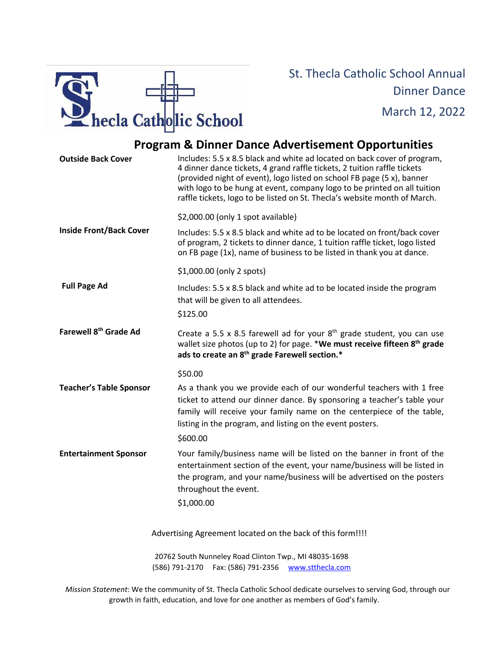

## St. Thecla Catholic School Annual Dinner Dance March 12, 2022

## **Program & Dinner Dance Advertisement Opportunities**

| <b>Outside Back Cover</b>         | Includes: 5.5 x 8.5 black and white ad located on back cover of program,<br>4 dinner dance tickets, 4 grand raffle tickets, 2 tuition raffle tickets<br>(provided night of event), logo listed on school FB page (5 x), banner<br>with logo to be hung at event, company logo to be printed on all tuition<br>raffle tickets, logo to be listed on St. Thecla's website month of March. |
|-----------------------------------|-----------------------------------------------------------------------------------------------------------------------------------------------------------------------------------------------------------------------------------------------------------------------------------------------------------------------------------------------------------------------------------------|
|                                   | \$2,000.00 (only 1 spot available)                                                                                                                                                                                                                                                                                                                                                      |
| <b>Inside Front/Back Cover</b>    | Includes: 5.5 x 8.5 black and white ad to be located on front/back cover<br>of program, 2 tickets to dinner dance, 1 tuition raffle ticket, logo listed<br>on FB page (1x), name of business to be listed in thank you at dance.                                                                                                                                                        |
|                                   | \$1,000.00 (only 2 spots)                                                                                                                                                                                                                                                                                                                                                               |
| <b>Full Page Ad</b>               | Includes: 5.5 x 8.5 black and white ad to be located inside the program<br>that will be given to all attendees.<br>\$125.00                                                                                                                                                                                                                                                             |
| Farewell 8 <sup>th</sup> Grade Ad |                                                                                                                                                                                                                                                                                                                                                                                         |
|                                   | Create a 5.5 x 8.5 farewell ad for your $8th$ grade student, you can use<br>wallet size photos (up to 2) for page. *We must receive fifteen 8 <sup>th</sup> grade<br>ads to create an 8 <sup>th</sup> grade Farewell section.*                                                                                                                                                          |
|                                   | \$50.00                                                                                                                                                                                                                                                                                                                                                                                 |
| <b>Teacher's Table Sponsor</b>    | As a thank you we provide each of our wonderful teachers with 1 free<br>ticket to attend our dinner dance. By sponsoring a teacher's table your<br>family will receive your family name on the centerpiece of the table,<br>listing in the program, and listing on the event posters.                                                                                                   |
|                                   | \$600.00                                                                                                                                                                                                                                                                                                                                                                                |
| <b>Entertainment Sponsor</b>      | Your family/business name will be listed on the banner in front of the<br>entertainment section of the event, your name/business will be listed in<br>the program, and your name/business will be advertised on the posters<br>throughout the event.<br>\$1,000.00                                                                                                                      |
|                                   | Advertising Agreement located on the back of this form!!!!                                                                                                                                                                                                                                                                                                                              |
|                                   | 20762 South Nunneley Road Clinton Twp., MI 48035-1698                                                                                                                                                                                                                                                                                                                                   |

*Mission Statement*: We the community of St. Thecla Catholic School dedicate ourselves to serving God, through our growth in faith, education, and love for one another as members of God's family.

(586) 791-2170 Fax: (586) 791-2356 WWW.stthecla.com